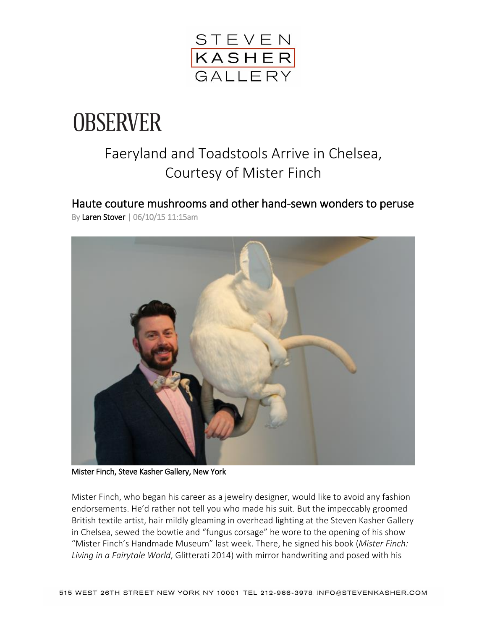

## **OBSERVER**

## Faeryland and Toadstools Arrive in Chelsea, Courtesy of Mister Finch

Haute couture mushrooms and other hand-sewn wonders to peruse By [Laren Stover](http://observer.com/author/laren-stover/) | 06/10/15 11:15am



Mister Finch, Steve Kasher Gallery, New York

Mister Finch, who began his career as a jewelry designer, would like to avoid any fashion endorsements. He'd rather not tell you who made his suit. But the impeccably groomed British textile artist, hair mildly gleaming in overhead lighting at the Steven Kasher Gallery in Chelsea, sewed the bowtie and "fungus corsage" he wore to the opening of his show "Mister Finch's Handmade Museum" last week. There, he signed his book (*Mister Finch: Living in a Fairytale World*, Glitterati 2014) with mirror handwriting and posed with his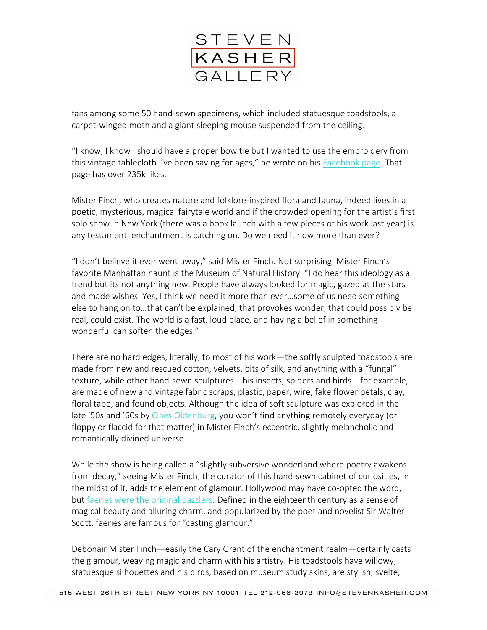

fans among some 50 hand-sewn specimens, which included statuesque toadstools, a carpet-winged moth and a giant sleeping mouse suspended from the ceiling.

"I know, I know I should have a proper bow tie but I wanted to use the embroidery from this vintage tablecloth I've been saving for ages," he wrote on his [Facebook](https://www.facebook.com/MisterFinchTextileArt) page. That page has over 235k likes.

Mister Finch, who creates nature and folklore-inspired flora and fauna, indeed lives in a poetic, mysterious, magical fairytale world and if the crowded opening for the artist's first solo show in New York (there was a book launch with a few pieces of his work last year) is any testament, enchantment is catching on. Do we need it now more than ever?

"I don't believe it ever went away," said Mister Finch. Not surprising, Mister Finch's favorite Manhattan haunt is the Museum of Natural History. "I do hear this ideology as a trend but its not anything new. People have always looked for magic, gazed at the stars and made wishes. Yes, I think we need it more than ever…some of us need something else to hang on to…that can't be explained, that provokes wonder, that could possibly be real, could exist. The world is a fast, loud place, and having a belief in something wonderful can soften the edges."

There are no hard edges, literally, to most of his work—the softly sculpted toadstools are made from new and rescued cotton, velvets, bits of silk, and anything with a "fungal" texture, while other hand-sewn sculptures—his insects, spiders and birds—for example, are made of new and vintage fabric scraps, plastic, paper, wire, fake flower petals, clay, floral tape, and found objects. Although the idea of soft sculpture was explored in the late '50s and '60s by Claes [Oldenburg](http://observer.com/2013/04/claes-oldenburg-the-street-and-the-store-1960-1962-and-mouse-museumray-gun-wing-at-the-museum-of-modern-art/), you won't find anything remotely everyday (or floppy or flaccid for that matter) in Mister Finch's eccentric, slightly melancholic and romantically divined universe.

While the show is being called a "slightly subversive wonderland where poetry awakens from decay," seeing Mister Finch, the curator of this hand-sewn cabinet of curiosities, in the midst of it, adds the element of glamour. Hollywood may have co-opted the word, but faeries were the original [dazzlers.](http://observer.com/2015/04/how-faerie-subculture-has-exploded-into-the-mainstream/) Defined in the eighteenth century as a sense of magical beauty and alluring charm, and popularized by the poet and novelist Sir Walter Scott, faeries are famous for "casting glamour."

Debonair Mister Finch—easily the Cary Grant of the enchantment realm—certainly casts the glamour, weaving magic and charm with his artistry. His toadstools have willowy, statuesque silhouettes and his birds, based on museum study skins, are stylish, svelte,